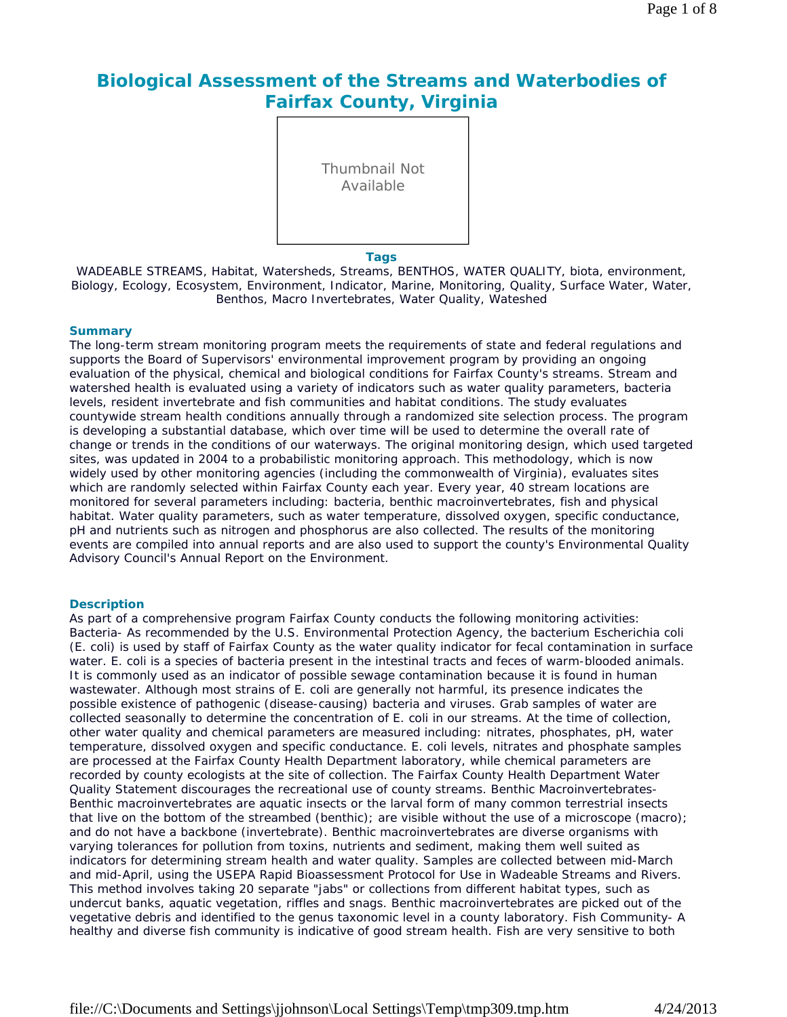# **Biological Assessment of the Streams and Waterbodies of Fairfax County, Virginia**

Thumbnail Not Available

#### **Tags**

WADEABLE STREAMS, Habitat, Watersheds, Streams, BENTHOS, WATER QUALITY, biota, environment, Biology, Ecology, Ecosystem, Environment, Indicator, Marine, Monitoring, Quality, Surface Water, Water, Benthos, Macro Invertebrates, Water Quality, Wateshed

### **Summary**

The long-term stream monitoring program meets the requirements of state and federal regulations and supports the Board of Supervisors' environmental improvement program by providing an ongoing evaluation of the physical, chemical and biological conditions for Fairfax County's streams. Stream and watershed health is evaluated using a variety of indicators such as water quality parameters, bacteria levels, resident invertebrate and fish communities and habitat conditions. The study evaluates countywide stream health conditions annually through a randomized site selection process. The program is developing a substantial database, which over time will be used to determine the overall rate of change or trends in the conditions of our waterways. The original monitoring design, which used targeted sites, was updated in 2004 to a probabilistic monitoring approach. This methodology, which is now widely used by other monitoring agencies (including the commonwealth of Virginia), evaluates sites which are randomly selected within Fairfax County each year. Every year, 40 stream locations are monitored for several parameters including: bacteria, benthic macroinvertebrates, fish and physical habitat. Water quality parameters, such as water temperature, dissolved oxygen, specific conductance, pH and nutrients such as nitrogen and phosphorus are also collected. The results of the monitoring events are compiled into annual reports and are also used to support the county's Environmental Quality Advisory Council's Annual Report on the Environment.

### **Description**

As part of a comprehensive program Fairfax County conducts the following monitoring activities: Bacteria- As recommended by the U.S. Environmental Protection Agency, the bacterium Escherichia coli (E. coli) is used by staff of Fairfax County as the water quality indicator for fecal contamination in surface water. E. coli is a species of bacteria present in the intestinal tracts and feces of warm-blooded animals. It is commonly used as an indicator of possible sewage contamination because it is found in human wastewater. Although most strains of E. coli are generally not harmful, its presence indicates the possible existence of pathogenic (disease-causing) bacteria and viruses. Grab samples of water are collected seasonally to determine the concentration of E. coli in our streams. At the time of collection, other water quality and chemical parameters are measured including: nitrates, phosphates, pH, water temperature, dissolved oxygen and specific conductance. E. coli levels, nitrates and phosphate samples are processed at the Fairfax County Health Department laboratory, while chemical parameters are recorded by county ecologists at the site of collection. The Fairfax County Health Department Water Quality Statement discourages the recreational use of county streams. Benthic Macroinvertebrates-Benthic macroinvertebrates are aquatic insects or the larval form of many common terrestrial insects that live on the bottom of the streambed (benthic); are visible without the use of a microscope (macro); and do not have a backbone (invertebrate). Benthic macroinvertebrates are diverse organisms with varying tolerances for pollution from toxins, nutrients and sediment, making them well suited as indicators for determining stream health and water quality. Samples are collected between mid-March and mid-April, using the USEPA Rapid Bioassessment Protocol for Use in Wadeable Streams and Rivers. This method involves taking 20 separate "jabs" or collections from different habitat types, such as undercut banks, aquatic vegetation, riffles and snags. Benthic macroinvertebrates are picked out of the vegetative debris and identified to the genus taxonomic level in a county laboratory. Fish Community- A healthy and diverse fish community is indicative of good stream health. Fish are very sensitive to both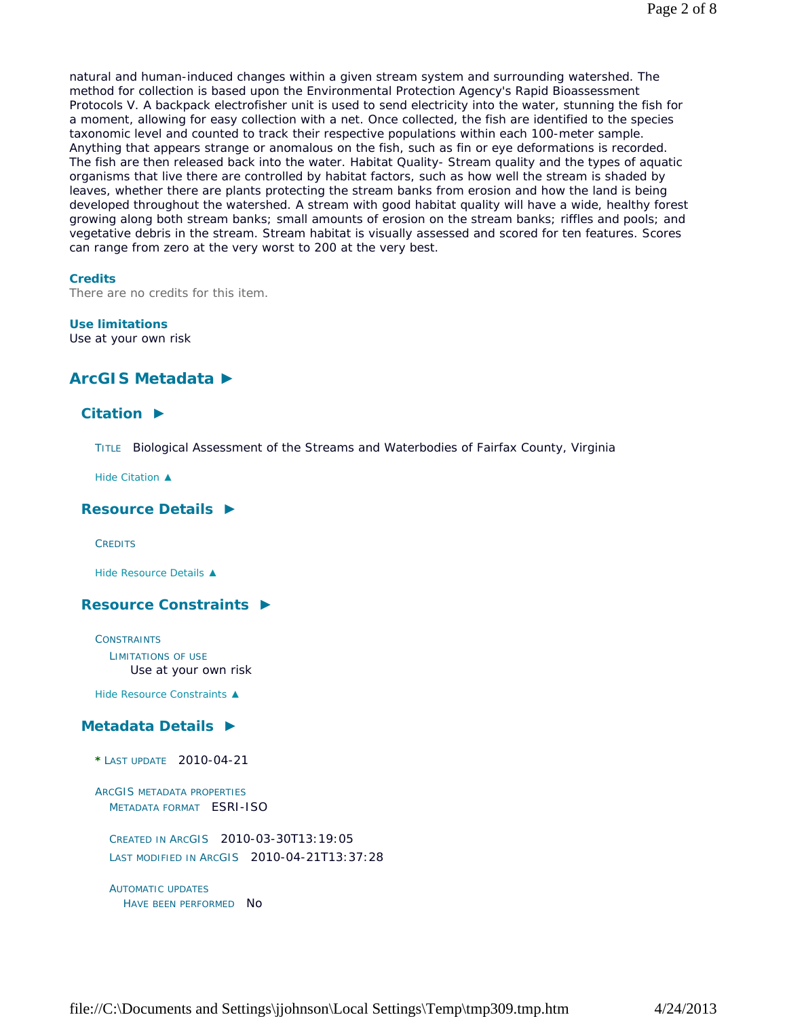natural and human-induced changes within a given stream system and surrounding watershed. The method for collection is based upon the Environmental Protection Agency's Rapid Bioassessment Protocols V. A backpack electrofisher unit is used to send electricity into the water, stunning the fish for a moment, allowing for easy collection with a net. Once collected, the fish are identified to the species taxonomic level and counted to track their respective populations within each 100-meter sample. Anything that appears strange or anomalous on the fish, such as fin or eye deformations is recorded. The fish are then released back into the water. Habitat Quality- Stream quality and the types of aquatic organisms that live there are controlled by habitat factors, such as how well the stream is shaded by leaves, whether there are plants protecting the stream banks from erosion and how the land is being developed throughout the watershed. A stream with good habitat quality will have a wide, healthy forest growing along both stream banks; small amounts of erosion on the stream banks; riffles and pools; and vegetative debris in the stream. Stream habitat is visually assessed and scored for ten features. Scores can range from zero at the very worst to 200 at the very best.

## **Credits**

There are no credits for this item.

### **Use limitations**

Use at your own risk

# **ArcGIS Metadata ►**

# **Citation ►**

TITLE Biological Assessment of the Streams and Waterbodies of Fairfax County, Virginia

*Hide Citation ▲*

# **Resource Details ►**

**CREDITS** 

*Hide Resource Details ▲*

# **Resource Constraints ►**

**CONSTRAINTS** LIMITATIONS OF USE Use at your own risk

*Hide Resource Constraints ▲*

# **Metadata Details ►**

- **\*** LAST UPDATE 2010-04-21
- ARCGIS METADATA PROPERTIES METADATA FORMAT ESRI-ISO

CREATED IN ARCGIS 2010-03-30T13:19:05 LAST MODIFIED IN ARCGIS 2010-04-21T13:37:28

```
AUTOMATIC UPDATES
HAVE BEEN PERFORMED NO
```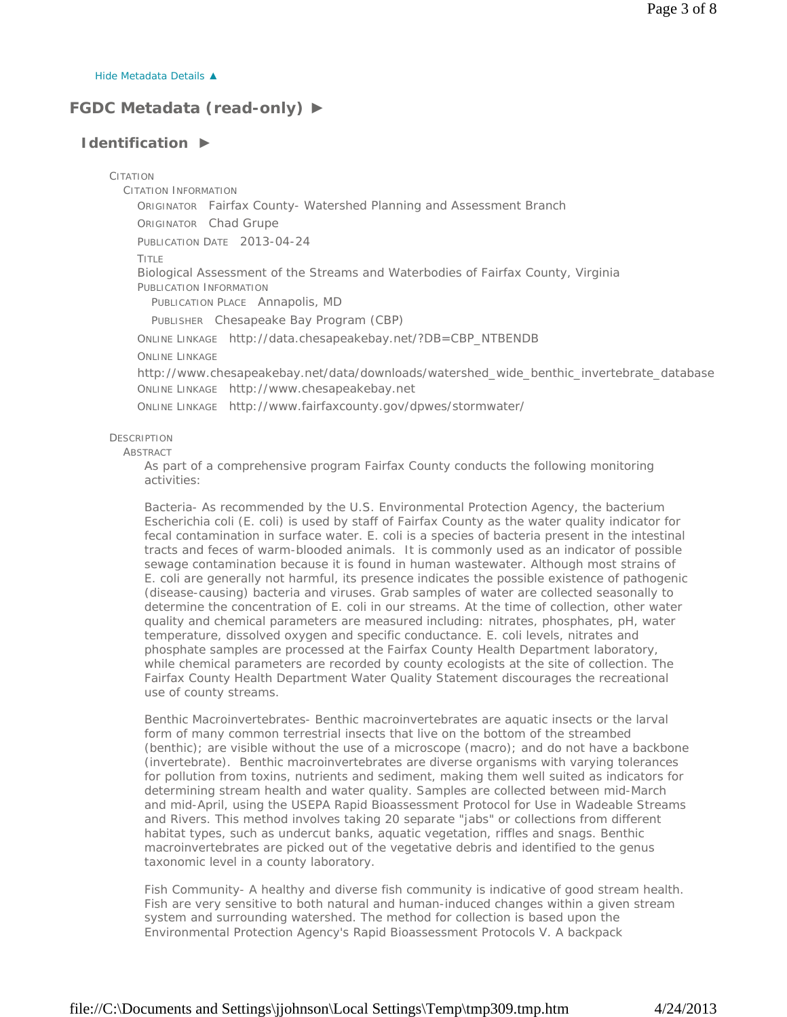*Hide Metadata Details ▲*

# **FGDC Metadata (read-only) ►**

# **Identification ►**

CITATION

CITATION INFORMATION

ORIGINATOR Fairfax County- Watershed Planning and Assessment Branch ORIGINATOR Chad Grupe

PUBLICATION DATE 2013-04-24

TITLE

Biological Assessment of the Streams and Waterbodies of Fairfax County, Virginia PUBLICATION INFORMATION

PUBLICATION PLACE Annapolis, MD

PUBLISHER Chesapeake Bay Program (CBP)

ONLINE LINKAGE http://data.chesapeakebay.net/?DB=CBP\_NTBENDB

ONLINE LINKAGE

http://www.chesapeakebay.net/data/downloads/watershed\_wide\_benthic\_invertebrate\_database ONLINE LINKAGE http://www.chesapeakebay.net

ONLINE LINKAGE http://www.fairfaxcounty.gov/dpwes/stormwater/

**DESCRIPTION** 

**ABSTRACT** 

As part of a comprehensive program Fairfax County conducts the following monitoring activities:

Bacteria- As recommended by the U.S. Environmental Protection Agency, the bacterium Escherichia coli (E. coli) is used by staff of Fairfax County as the water quality indicator for fecal contamination in surface water. E. coli is a species of bacteria present in the intestinal tracts and feces of warm-blooded animals. It is commonly used as an indicator of possible sewage contamination because it is found in human wastewater. Although most strains of E. coli are generally not harmful, its presence indicates the possible existence of pathogenic (disease-causing) bacteria and viruses. Grab samples of water are collected seasonally to determine the concentration of E. coli in our streams. At the time of collection, other water quality and chemical parameters are measured including: nitrates, phosphates, pH, water temperature, dissolved oxygen and specific conductance. E. coli levels, nitrates and phosphate samples are processed at the Fairfax County Health Department laboratory, while chemical parameters are recorded by county ecologists at the site of collection. The Fairfax County Health Department Water Quality Statement discourages the recreational use of county streams.

Benthic Macroinvertebrates- Benthic macroinvertebrates are aquatic insects or the larval form of many common terrestrial insects that live on the bottom of the streambed (benthic); are visible without the use of a microscope (macro); and do not have a backbone (invertebrate). Benthic macroinvertebrates are diverse organisms with varying tolerances for pollution from toxins, nutrients and sediment, making them well suited as indicators for determining stream health and water quality. Samples are collected between mid-March and mid-April, using the USEPA Rapid Bioassessment Protocol for Use in Wadeable Streams and Rivers. This method involves taking 20 separate "jabs" or collections from different habitat types, such as undercut banks, aquatic vegetation, riffles and snags. Benthic macroinvertebrates are picked out of the vegetative debris and identified to the genus taxonomic level in a county laboratory.

Fish Community- A healthy and diverse fish community is indicative of good stream health. Fish are very sensitive to both natural and human-induced changes within a given stream system and surrounding watershed. The method for collection is based upon the Environmental Protection Agency's Rapid Bioassessment Protocols V. A backpack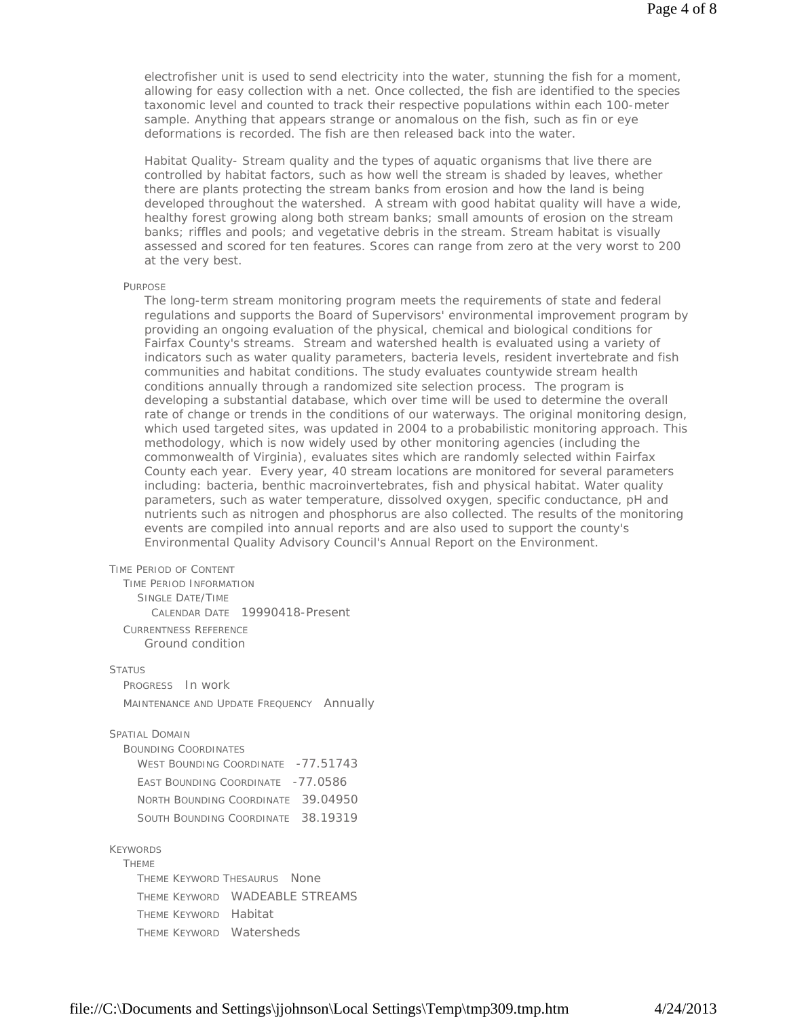electrofisher unit is used to send electricity into the water, stunning the fish for a moment, allowing for easy collection with a net. Once collected, the fish are identified to the species taxonomic level and counted to track their respective populations within each 100-meter sample. Anything that appears strange or anomalous on the fish, such as fin or eye deformations is recorded. The fish are then released back into the water.

Habitat Quality- Stream quality and the types of aquatic organisms that live there are controlled by habitat factors, such as how well the stream is shaded by leaves, whether there are plants protecting the stream banks from erosion and how the land is being developed throughout the watershed. A stream with good habitat quality will have a wide, healthy forest growing along both stream banks; small amounts of erosion on the stream banks; riffles and pools; and vegetative debris in the stream. Stream habitat is visually assessed and scored for ten features. Scores can range from zero at the very worst to 200 at the very best.

#### PURPOSE

The long-term stream monitoring program meets the requirements of state and federal regulations and supports the Board of Supervisors' environmental improvement program by providing an ongoing evaluation of the physical, chemical and biological conditions for Fairfax County's streams. Stream and watershed health is evaluated using a variety of indicators such as water quality parameters, bacteria levels, resident invertebrate and fish communities and habitat conditions. The study evaluates countywide stream health conditions annually through a randomized site selection process. The program is developing a substantial database, which over time will be used to determine the overall rate of change or trends in the conditions of our waterways. The original monitoring design, which used targeted sites, was updated in 2004 to a probabilistic monitoring approach. This methodology, which is now widely used by other monitoring agencies (including the commonwealth of Virginia), evaluates sites which are randomly selected within Fairfax County each year. Every year, 40 stream locations are monitored for several parameters including: bacteria, benthic macroinvertebrates, fish and physical habitat. Water quality parameters, such as water temperature, dissolved oxygen, specific conductance, pH and nutrients such as nitrogen and phosphorus are also collected. The results of the monitoring events are compiled into annual reports and are also used to support the county's Environmental Quality Advisory Council's Annual Report on the Environment.

#### TIME PERIOD OF CONTENT

TIME PERIOD INFORMATION SINGLE DATE/TIME CALENDAR DATE 19990418-Present CURRENTNESS REFERENCE Ground condition

#### **STATUS**

PROGRESS In work MAINTENANCE AND UPDATE FREQUENCY Annually

#### SPATIAL DOMAIN

BOUNDING COORDINATES WEST BOUNDING COORDINATE - 77.51743 EAST BOUNDING COORDINATE -77.0586 NORTH BOUNDING COORDINATE 39.04950 SOUTH BOUNDING COORDINATE 38.19319

## KEYWORDS

**THEME** THEME KEYWORD THESAURUS None THEME KEYWORD WADEABLE STREAMS THEME KEYWORD Habitat THEME KEYWORD Watersheds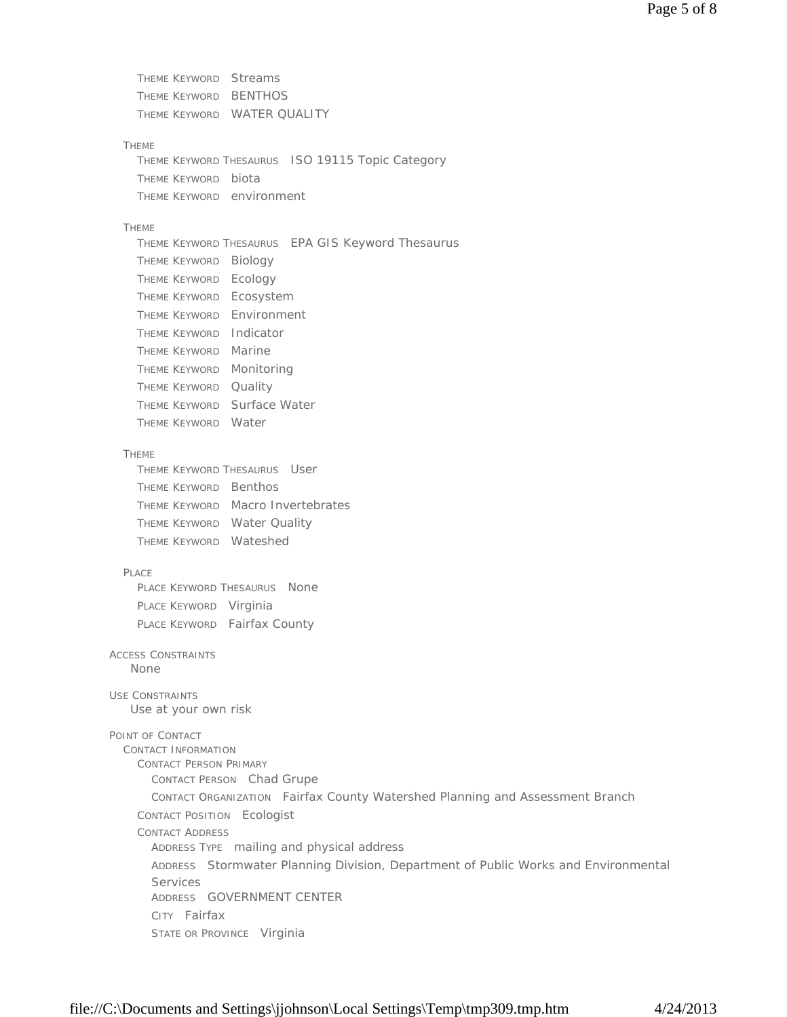THEME KEYWORD Streams THEME KEYWORD BENTHOS THEME KEYWORD WATER QUALITY

#### THEME

THEME KEYWORD THESAURUS ISO 19115 Topic Category THEME KEYWORD biota THEME KEYWORD environment

### THEME

THEME KEYWORD THESAURUS EPA GIS Keyword Thesaurus THEME KEYWORD Biology THEME KEYWORD Ecology THEME KEYWORD Ecosystem THEME KEYWORD Environment THEME KEYWORD Indicator THEME KEYWORD Marine THEME KEYWORD Monitoring THEME KEYWORD Quality THEME KEYWORD Surface Water THEME KEYWORD Water

## THEME

THEME KEYWORD THESAURUS User THEME KEYWORD Benthos THEME KEYWORD Macro Invertebrates THEME KEYWORD Water Quality THEME KEYWORD Wateshed

### PLACE

PLACE KEYWORD THESAURUS None PLACE KEYWORD Virginia PLACE KEYWORD Fairfax County

#### ACCESS CONSTRAINTS None

USE CONSTRAINTS

Use at your own risk

# POINT OF CONTACT

CONTACT INFORMATION CONTACT PERSON PRIMARY CONTACT PERSON Chad Grupe CONTACT ORGANIZATION Fairfax County Watershed Planning and Assessment Branch CONTACT POSITION Ecologist CONTACT ADDRESS ADDRESS TYPE mailing and physical address ADDRESS Stormwater Planning Division, Department of Public Works and Environmental Services ADDRESS GOVERNMENT CENTER CITY Fairfax STATE OR PROVINCE Virginia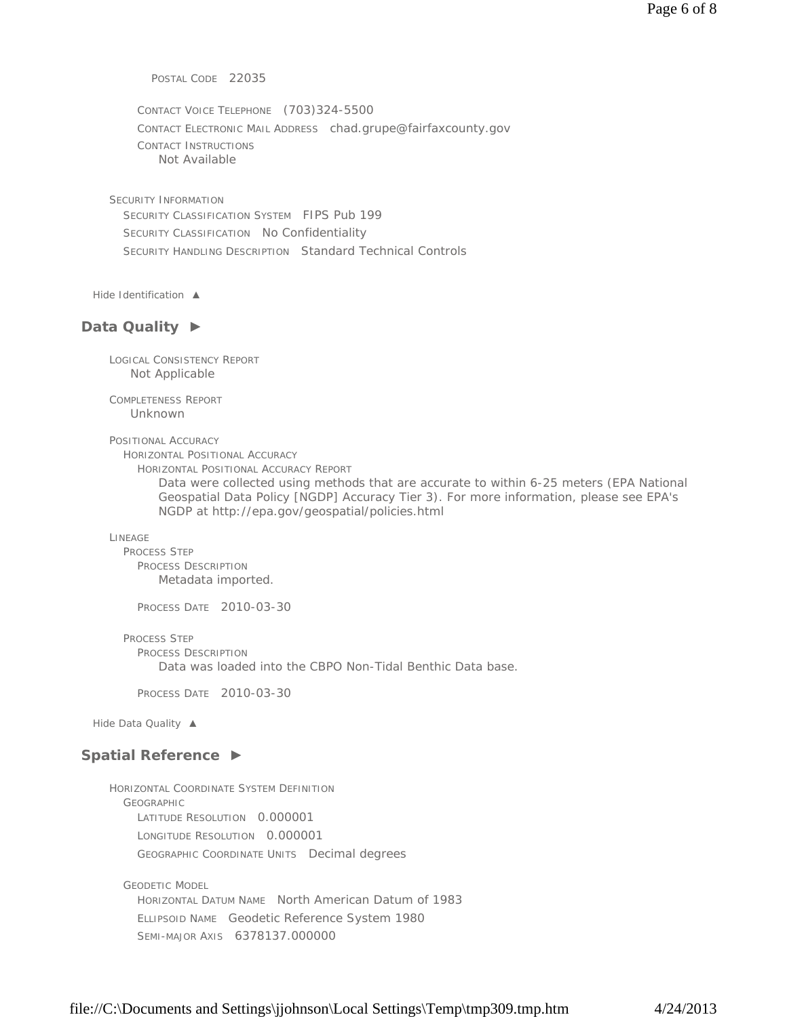POSTAL CODE 22035

CONTACT VOICE TELEPHONE (703)324-5500 CONTACT ELECTRONIC MAIL ADDRESS chad.grupe@fairfaxcounty.gov CONTACT INSTRUCTIONS Not Available

SECURITY INFORMATION SECURITY CLASSIFICATION SYSTEM FIPS Pub 199 SECURITY CLASSIFICATION No Confidentiality SECURITY HANDLING DESCRIPTION Standard Technical Controls

*Hide Identification ▲*

## **Data Quality ►**

LOGICAL CONSISTENCY REPORT Not Applicable

COMPLETENESS REPORT Unknown

POSITIONAL ACCURACY

HORIZONTAL POSITIONAL ACCURACY

HORIZONTAL POSITIONAL ACCURACY REPORT

Data were collected using methods that are accurate to within 6-25 meters (EPA National Geospatial Data Policy [NGDP] Accuracy Tier 3). For more information, please see EPA's NGDP at http://epa.gov/geospatial/policies.html

LINEAGE

PROCESS STEP PROCESS DESCRIPTION Metadata imported.

PROCESS DATE 2010-03-30

PROCESS STEP

PROCESS DESCRIPTION

Data was loaded into the CBPO Non-Tidal Benthic Data base.

PROCESS DATE 2010-03-30

*Hide Data Quality ▲*

# **Spatial Reference ►**

HORIZONTAL COORDINATE SYSTEM DEFINITION GEOGRAPHIC LATITUDE RESOLUTION 0.000001 LONGITUDE RESOLUTION 0.000001 GEOGRAPHIC COORDINATE UNITS Decimal degrees

GEODETIC MODEL HORIZONTAL DATUM NAME North American Datum of 1983 ELLIPSOID NAME Geodetic Reference System 1980 SEMI-MAJOR AXIS 6378137.000000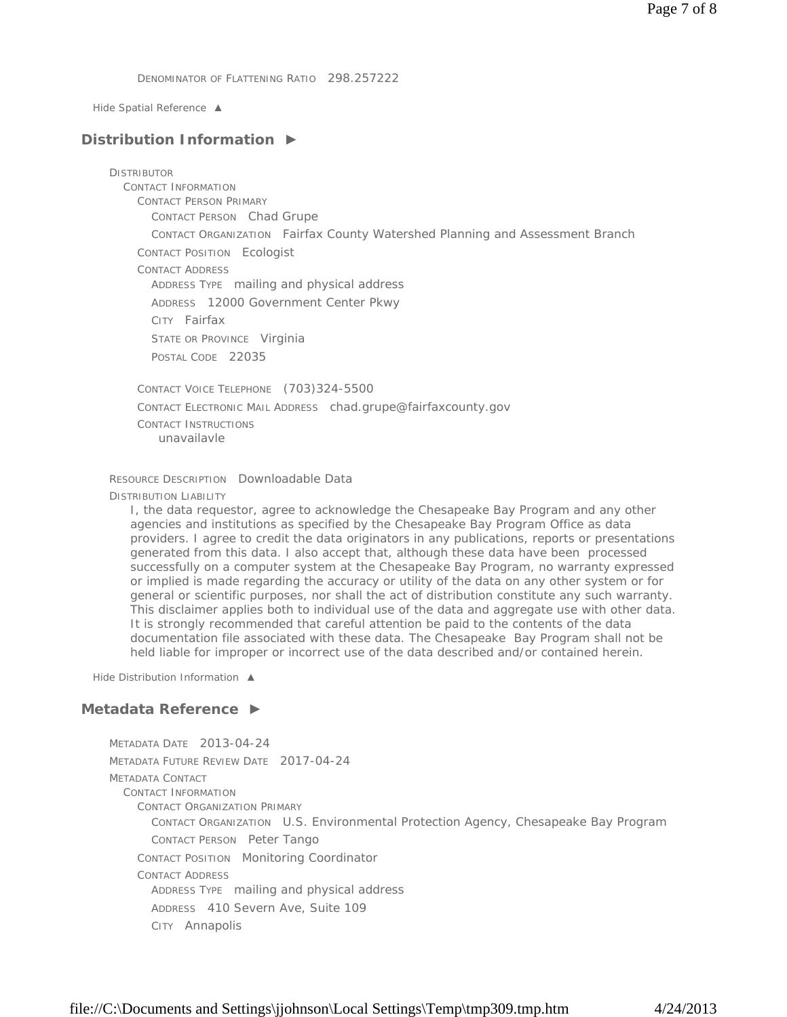DENOMINATOR OF FLATTENING RATIO 298.257222

*Hide Spatial Reference ▲*

# **Distribution Information ►**

**DISTRIBUTOR** CONTACT INFORMATION CONTACT PERSON PRIMARY CONTACT PERSON Chad Grupe CONTACT ORGANIZATION Fairfax County Watershed Planning and Assessment Branch CONTACT POSITION Ecologist CONTACT ADDRESS ADDRESS TYPE mailing and physical address ADDRESS 12000 Government Center Pkwy CITY Fairfax STATE OR PROVINCE Virginia POSTAL CODE 22035 CONTACT VOICE TELEPHONE (703)324-5500 CONTACT ELECTRONIC MAIL ADDRESS chad.grupe@fairfaxcounty.gov CONTACT INSTRUCTIONS

unavailavle

RESOURCE DESCRIPTION Downloadable Data

DISTRIBUTION LIABILITY

I, the data requestor, agree to acknowledge the Chesapeake Bay Program and any other agencies and institutions as specified by the Chesapeake Bay Program Office as data providers. I agree to credit the data originators in any publications, reports or presentations generated from this data. I also accept that, although these data have been processed successfully on a computer system at the Chesapeake Bay Program, no warranty expressed or implied is made regarding the accuracy or utility of the data on any other system or for general or scientific purposes, nor shall the act of distribution constitute any such warranty. This disclaimer applies both to individual use of the data and aggregate use with other data. It is strongly recommended that careful attention be paid to the contents of the data documentation file associated with these data. The Chesapeake Bay Program shall not be held liable for improper or incorrect use of the data described and/or contained herein.

*Hide Distribution Information ▲*

# **Metadata Reference ►**

METADATA DATE 2013-04-24 METADATA FUTURE REVIEW DATE 2017-04-24 METADATA CONTACT CONTACT INFORMATION CONTACT ORGANIZATION PRIMARY CONTACT ORGANIZATION U.S. Environmental Protection Agency, Chesapeake Bay Program CONTACT PERSON Peter Tango CONTACT POSITION Monitoring Coordinator CONTACT ADDRESS ADDRESS TYPE mailing and physical address ADDRESS 410 Severn Ave, Suite 109 CITY Annapolis